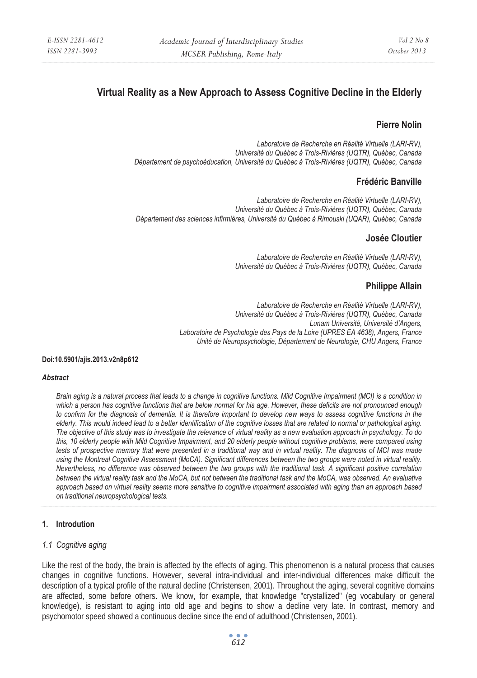# **Virtual Reality as a New Approach to Assess Cognitive Decline in the Elderly**

### **Pierre Nolin**

*Laboratoire de Recherche en Réalité Virtuelle (LARI-RV), Université du Québec à Trois-Rivières (UQTR), Québec, Canada Département de psychoéducation, Université du Québec à Trois-Rivières (UQTR), Québec, Canada* 

# **Frédéric Banville**

*Laboratoire de Recherche en Réalité Virtuelle (LARI-RV), Université du Québec à Trois-Rivières (UQTR), Québec, Canada Département des sciences infirmières, Université du Québec à Rimouski (UQAR), Québec, Canada* 

### **Josée Cloutier**

*Laboratoire de Recherche en Réalité Virtuelle (LARI-RV), Université du Québec à Trois-Rivières (UQTR), Québec, Canada* 

# **Philippe Allain**

*Laboratoire de Recherche en Réalité Virtuelle (LARI-RV), Université du Québec à Trois-Rivières (UQTR), Québec, Canada Lunam Université, Université d'Angers, Laboratoire de Psychologie des Pays de la Loire (UPRES EA 4638), Angers, France Unité de Neuropsychologie, Département de Neurologie, CHU Angers, France* 

#### **Doi:10.5901/ajis.2013.v2n8p612**

#### *Abstract*

*Brain aging is a natural process that leads to a change in cognitive functions. Mild Cognitive Impairment (MCI) is a condition in which a person has cognitive functions that are below normal for his age. However, these deficits are not pronounced enough to confirm for the diagnosis of dementia. It is therefore important to develop new ways to assess cognitive functions in the elderly. This would indeed lead to a better identification of the cognitive losses that are related to normal or pathological aging. The objective of this study was to investigate the relevance of virtual reality as a new evaluation approach in psychology. To do this, 10 elderly people with Mild Cognitive Impairment, and 20 elderly people without cognitive problems, were compared using tests of prospective memory that were presented in a traditional way and in virtual reality. The diagnosis of MCI was made using the Montreal Cognitive Assessment (MoCA). Significant differences between the two groups were noted in virtual reality. Nevertheless, no difference was observed between the two groups with the traditional task. A significant positive correlation*  between the virtual reality task and the MoCA, but not between the traditional task and the MoCA, was observed. An evaluative *approach based on virtual reality seems more sensitive to cognitive impairment associated with aging than an approach based on traditional neuropsychological tests.* 

### **1. Introdution**

### *1.1 Cognitive aging*

Like the rest of the body, the brain is affected by the effects of aging. This phenomenon is a natural process that causes changes in cognitive functions. However, several intra-individual and inter-individual differences make difficult the description of a typical profile of the natural decline (Christensen, 2001). Throughout the aging, several cognitive domains are affected, some before others. We know, for example, that knowledge "crystallized" (eg vocabulary or general knowledge), is resistant to aging into old age and begins to show a decline very late. In contrast, memory and psychomotor speed showed a continuous decline since the end of adulthood (Christensen, 2001).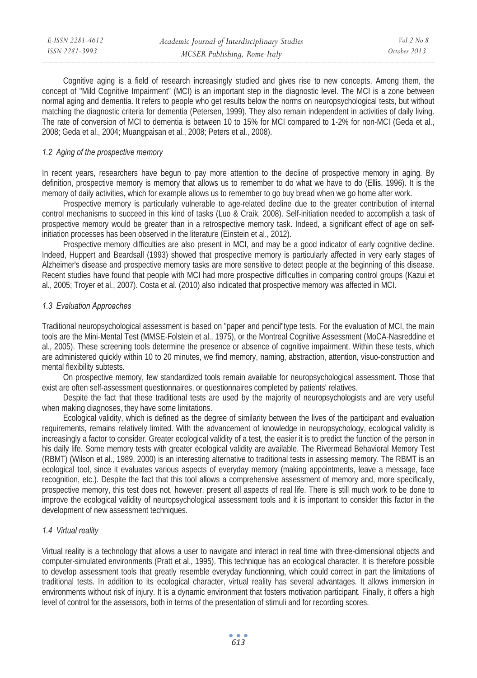| E-ISSN 2281-4612 | Academic Journal of Interdisciplinary Studies | $Vol\ 2\ No\ 8$ |
|------------------|-----------------------------------------------|-----------------|
| ISSN 2281-3993   | MCSER Publishing, Rome-Italy                  | October 2013    |

Cognitive aging is a field of research increasingly studied and gives rise to new concepts. Among them, the concept of "Mild Cognitive Impairment" (MCI) is an important step in the diagnostic level. The MCI is a zone between normal aging and dementia. It refers to people who get results below the norms on neuropsychological tests, but without matching the diagnostic criteria for dementia (Petersen, 1999). They also remain independent in activities of daily living. The rate of conversion of MCI to dementia is between 10 to 15% for MCI compared to 1-2% for non-MCI (Geda et al., 2008; Geda et al., 2004; Muangpaisan et al., 2008; Peters et al., 2008).

### *1.2 Aging of the prospective memory*

In recent years, researchers have begun to pay more attention to the decline of prospective memory in aging. By definition, prospective memory is memory that allows us to remember to do what we have to do (Ellis, 1996). It is the memory of daily activities, which for example allows us to remember to go buy bread when we go home after work.

Prospective memory is particularly vulnerable to age-related decline due to the greater contribution of internal control mechanisms to succeed in this kind of tasks (Luo & Craik, 2008). Self-initiation needed to accomplish a task of prospective memory would be greater than in a retrospective memory task. Indeed, a significant effect of age on selfinitiation processes has been observed in the literature (Einstein et al., 2012).

Prospective memory difficulties are also present in MCI, and may be a good indicator of early cognitive decline. Indeed, Huppert and Beardsall (1993) showed that prospective memory is particularly affected in very early stages of Alzheimer's disease and prospective memory tasks are more sensitive to detect people at the beginning of this disease. Recent studies have found that people with MCI had more prospective difficulties in comparing control groups (Kazui et al., 2005; Troyer et al., 2007). Costa et al. (2010) also indicated that prospective memory was affected in MCI.

#### *1.3 Evaluation Approaches*

Traditional neuropsychological assessment is based on "paper and pencil"type tests. For the evaluation of MCI, the main tools are the Mini-Mental Test (MMSE-Folstein et al., 1975), or the Montreal Cognitive Assessment (MoCA-Nasreddine et al., 2005). These screening tools determine the presence or absence of cognitive impairment. Within these tests, which are administered quickly within 10 to 20 minutes, we find memory, naming, abstraction, attention, visuo-construction and mental flexibility subtests.

On prospective memory, few standardized tools remain available for neuropsychological assessment. Those that exist are often self-assessment questionnaires, or questionnaires completed by patients' relatives.

Despite the fact that these traditional tests are used by the majority of neuropsychologists and are very useful when making diagnoses, they have some limitations.

Ecological validity, which is defined as the degree of similarity between the lives of the participant and evaluation requirements, remains relatively limited. With the advancement of knowledge in neuropsychology, ecological validity is increasingly a factor to consider. Greater ecological validity of a test, the easier it is to predict the function of the person in his daily life. Some memory tests with greater ecological validity are available. The Rivermead Behavioral Memory Test (RBMT) (Wilson et al., 1989, 2000) is an interesting alternative to traditional tests in assessing memory. The RBMT is an ecological tool, since it evaluates various aspects of everyday memory (making appointments, leave a message, face recognition, etc.). Despite the fact that this tool allows a comprehensive assessment of memory and, more specifically, prospective memory, this test does not, however, present all aspects of real life. There is still much work to be done to improve the ecological validity of neuropsychological assessment tools and it is important to consider this factor in the development of new assessment techniques.

#### *1.4 Virtual reality*

Virtual reality is a technology that allows a user to navigate and interact in real time with three-dimensional objects and computer-simulated environments (Pratt et al., 1995). This technique has an ecological character. It is therefore possible to develop assessment tools that greatly resemble everyday functionning, which could correct in part the limitations of traditional tests. In addition to its ecological character, virtual reality has several advantages. It allows immersion in environments without risk of injury. It is a dynamic environment that fosters motivation participant. Finally, it offers a high level of control for the assessors, both in terms of the presentation of stimuli and for recording scores.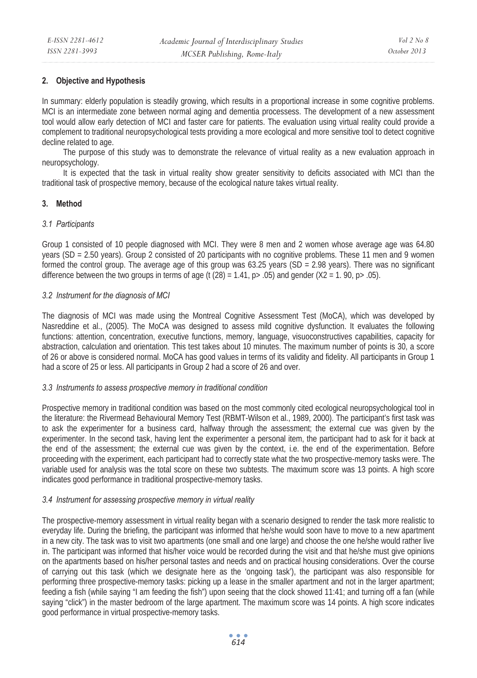# **2. Objective and Hypothesis**

In summary: elderly population is steadily growing, which results in a proportional increase in some cognitive problems. MCI is an intermediate zone between normal aging and dementia processess. The development of a new assessment tool would allow early detection of MCI and faster care for patients. The evaluation using virtual reality could provide a complement to traditional neuropsychological tests providing a more ecological and more sensitive tool to detect cognitive decline related to age.

The purpose of this study was to demonstrate the relevance of virtual reality as a new evaluation approach in neuropsychology.

It is expected that the task in virtual reality show greater sensitivity to deficits associated with MCI than the traditional task of prospective memory, because of the ecological nature takes virtual reality.

### **3. Method**

### *3.1 Participants*

Group 1 consisted of 10 people diagnosed with MCI. They were 8 men and 2 women whose average age was 64.80 years (SD = 2.50 years). Group 2 consisted of 20 participants with no cognitive problems. These 11 men and 9 women formed the control group. The average age of this group was 63.25 years (SD = 2.98 years). There was no significant difference between the two groups in terms of age (t  $(28) = 1.41$ , p $> 0.05$ ) and gender  $(X2 = 1.90, p > 0.05)$ .

### *3.2 Instrument for the diagnosis of MCI*

The diagnosis of MCI was made using the Montreal Cognitive Assessment Test (MoCA), which was developed by Nasreddine et al., (2005). The MoCA was designed to assess mild cognitive dysfunction. It evaluates the following functions: attention, concentration, executive functions, memory, language, visuoconstructives capabilities, capacity for abstraction, calculation and orientation. This test takes about 10 minutes. The maximum number of points is 30, a score of 26 or above is considered normal. MoCA has good values in terms of its validity and fidelity. All participants in Group 1 had a score of 25 or less. All participants in Group 2 had a score of 26 and over.

### *3.3 Instruments to assess prospective memory in traditional condition*

Prospective memory in traditional condition was based on the most commonly cited ecological neuropsychological tool in the literature: the Rivermead Behavioural Memory Test (RBMT-Wilson et al., 1989, 2000). The participant's first task was to ask the experimenter for a business card, halfway through the assessment; the external cue was given by the experimenter. In the second task, having lent the experimenter a personal item, the participant had to ask for it back at the end of the assessment; the external cue was given by the context, i.e. the end of the experimentation. Before proceeding with the experiment, each participant had to correctly state what the two prospective-memory tasks were. The variable used for analysis was the total score on these two subtests. The maximum score was 13 points. A high score indicates good performance in traditional prospective-memory tasks.

### *3.4 Instrument for assessing prospective memory in virtual reality*

The prospective-memory assessment in virtual reality began with a scenario designed to render the task more realistic to everyday life. During the briefing, the participant was informed that he/she would soon have to move to a new apartment in a new city. The task was to visit two apartments (one small and one large) and choose the one he/she would rather live in. The participant was informed that his/her voice would be recorded during the visit and that he/she must give opinions on the apartments based on his/her personal tastes and needs and on practical housing considerations. Over the course of carrying out this task (which we designate here as the 'ongoing task'), the participant was also responsible for performing three prospective-memory tasks: picking up a lease in the smaller apartment and not in the larger apartment; feeding a fish (while saying "I am feeding the fish") upon seeing that the clock showed 11:41; and turning off a fan (while saying "click") in the master bedroom of the large apartment. The maximum score was 14 points. A high score indicates good performance in virtual prospective-memory tasks.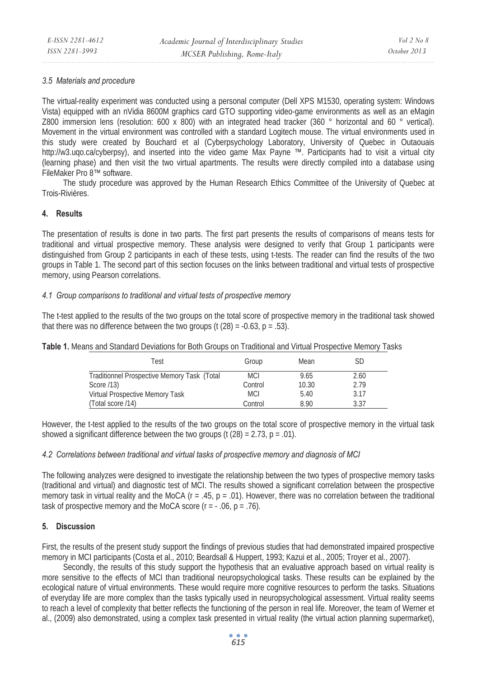### *3.5 Materials and procedure*

The virtual-reality experiment was conducted using a personal computer (Dell XPS M1530, operating system: Windows Vista) equipped with an nVidia 8600M graphics card GTO supporting video-game environments as well as an eMagin Z800 immersion lens (resolution: 600 x 800) with an integrated head tracker (360 ° horizontal and 60 ° vertical). Movement in the virtual environment was controlled with a standard Logitech mouse. The virtual environments used in this study were created by Bouchard et al (Cyberpsychology Laboratory, University of Quebec in Outaouais http://w3.uqo.ca/cyberpsy), and inserted into the video game Max Payne ™. Participants had to visit a virtual city (learning phase) and then visit the two virtual apartments. The results were directly compiled into a database using FileMaker Pro 8™ software.

The study procedure was approved by the Human Research Ethics Committee of the University of Quebec at Trois-Rivières.

# **4. Results**

The presentation of results is done in two parts. The first part presents the results of comparisons of means tests for traditional and virtual prospective memory. These analysis were designed to verify that Group 1 participants were distinguished from Group 2 participants in each of these tests, using t-tests. The reader can find the results of the two groups in Table 1. The second part of this section focuses on the links between traditional and virtual tests of prospective memory, using Pearson correlations.

### *4.1 Group comparisons to traditional and virtual tests of prospective memory*

The t-test applied to the results of the two groups on the total score of prospective memory in the traditional task showed that there was no difference between the two groups (t  $(28) = -0.63$ , p = .53).

| Test                                        | Group      | Mean  | SD   |
|---------------------------------------------|------------|-------|------|
| Traditionnel Prospective Memory Task (Total | <b>MCI</b> | 9.65  | 2.60 |
| Score /13)                                  | Control    | 10.30 | 2.79 |
| Virtual Prospective Memory Task             | <b>MCI</b> | 5.40  | 3.17 |
| (Total score /14)                           | Control    | 8.90  | 3.37 |

**Table 1.** Means and Standard Deviations for Both Groups on Traditional and Virtual Prospective Memory Tasks

However, the t-test applied to the results of the two groups on the total score of prospective memory in the virtual task showed a significant difference between the two groups (t  $(28) = 2.73$ ,  $p = .01$ ).

### *4.2 Correlations between traditional and virtual tasks of prospective memory and diagnosis of MCI*

The following analyzes were designed to investigate the relationship between the two types of prospective memory tasks (traditional and virtual) and diagnostic test of MCI. The results showed a significant correlation between the prospective memory task in virtual reality and the MoCA ( $r = .45$ ,  $p = .01$ ). However, there was no correlation between the traditional task of prospective memory and the MoCA score  $(r = -0.06, p = 0.76)$ .

### **5. Discussion**

First, the results of the present study support the findings of previous studies that had demonstrated impaired prospective memory in MCI participants (Costa et al., 2010; Beardsall & Huppert, 1993; Kazui et al., 2005; Troyer et al., 2007).

Secondly, the results of this study support the hypothesis that an evaluative approach based on virtual reality is more sensitive to the effects of MCI than traditional neuropsychological tasks. These results can be explained by the ecological nature of virtual environments. These would require more cognitive resources to perform the tasks. Situations of everyday life are more complex than the tasks typically used in neuropsychological assessment. Virtual reality seems to reach a level of complexity that better reflects the functioning of the person in real life. Moreover, the team of Werner et al., (2009) also demonstrated, using a complex task presented in virtual reality (the virtual action planning supermarket),